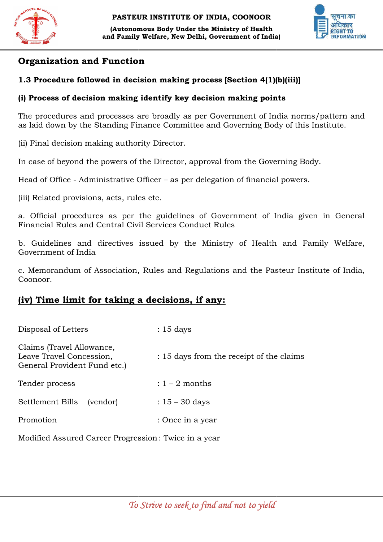



# Organization and Function

#### 1.3 Procedure followed in decision making process [Section 4(1)(b)(iii)]

#### (i) Process of decision making identify key decision making points

The procedures and processes are broadly as per Government of India norms/pattern and The procedures and processes are broadly as per Government of India norms/pattern<br>as laid down by the Standing Finance Committee and Governing Body of this Institute.

(ii) Final decision making authority Director.

In case of beyond the powers of the Director, approval from the Governing Body.

Head of Office - Administrative Officer – as per delegation of financial powers.

(iii) Related provisions, acts, rules etc.

a. Official procedures as per the guidelines of Government of India given in Genera Financial Rules and Central Civil Services Conduct Rules (iii) Related provisions, acts, rules etc.<br>
a. Official procedures as per the guidelines of Government of India given in General<br>
Financial Rules and Central Civil Services Conduct Rules<br>
b. Guidelines and directives issue General

b. Guidelines and directives issued by the Ministry of Health and Family Welfare, Government of India

c. Memorandum of Association, Rules and Regulations and the Coonoor.

# (iv) Time limit for taking a decisions, if any:

| Disposal of Letters                                                                   | $: 15$ days                              |
|---------------------------------------------------------------------------------------|------------------------------------------|
| Claims (Travel Allowance,<br>Leave Travel Concession,<br>General Provident Fund etc.) | : 15 days from the receipt of the claims |
| Tender process                                                                        | $: 1 - 2$ months                         |
| Settlement Bills<br>(vendor)                                                          | : $15 - 30$ days                         |
| Promotion                                                                             | : Once in a year                         |
|                                                                                       |                                          |

Modified Assured Career Progression: Twice in a year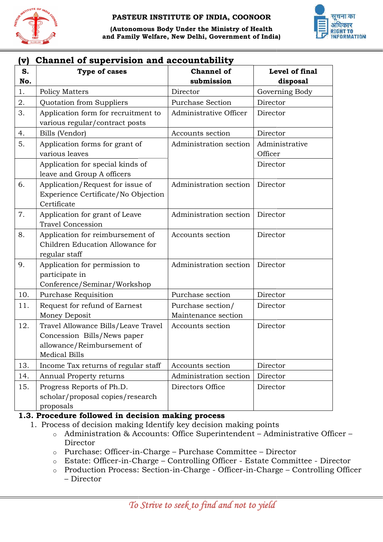



# (v) Channel of supervision and accountability

| S.  | Type of cases                                                                                                            | <b>Channel of</b>                        | Level of final |
|-----|--------------------------------------------------------------------------------------------------------------------------|------------------------------------------|----------------|
| No. |                                                                                                                          | submission                               | disposal       |
| 1.  | <b>Policy Matters</b>                                                                                                    | Director                                 | Governing Body |
| 2.  | Quotation from Suppliers                                                                                                 | <b>Purchase Section</b>                  | Director       |
| 3.  | Application form for recruitment to                                                                                      | Administrative Officer                   | Director       |
|     | various regular/contract posts                                                                                           |                                          |                |
| 4.  | Bills (Vendor)                                                                                                           | Accounts section                         | Director       |
| 5.  | Application forms for grant of                                                                                           | Administration section                   | Administrative |
|     | various leaves                                                                                                           |                                          | Officer        |
|     | Application for special kinds of<br>leave and Group A officers                                                           |                                          | Director       |
| 6.  | Application/Request for issue of<br>Experience Certificate/No Objection<br>Certificate                                   | Administration section                   | Director       |
| 7.  | Application for grant of Leave<br><b>Travel Concession</b>                                                               | Administration section                   | Director       |
| 8.  | Application for reimbursement of<br>Children Education Allowance for<br>regular staff                                    | Accounts section                         | Director       |
| 9.  | Application for permission to<br>participate in<br>Conference/Seminar/Workshop                                           | Administration section                   | Director       |
| 10. | Purchase Requisition                                                                                                     | Purchase section                         | Director       |
| 11. | Request for refund of Earnest<br>Money Deposit                                                                           | Purchase section/<br>Maintenance section | Director       |
| 12. | Travel Allowance Bills/Leave Travel<br>Concession Bills/News paper<br>allowance/Reimbursement of<br><b>Medical Bills</b> | Accounts section                         | Director       |
| 13. | Income Tax returns of regular staff                                                                                      | Accounts section                         | Director       |
| 14. | Annual Property returns                                                                                                  | Administration section                   | Director       |
| 15. | Progress Reports of Ph.D.<br>scholar/proposal copies/research<br>proposals                                               | Directors Office                         | Director       |

#### 1.3. Procedure followed in decision making process

- 1. Process of decision making Identify key decision making points
	- ocess of decision making Identify key decision making points<br>○ Administration & Accounts: Office Superintendent Administrative Officer Director
	- o Purchase: Officer-in-Charge Purchase Committee Director
	- o Estate: Officer-in-Charge Controlling Officer Estate Committee Director
	- o Production Process: Section-in-Charge Officer-in-Charge Controlling Officer – Director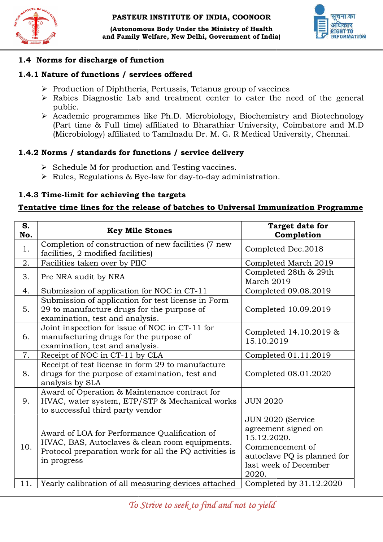

#### 1.4 Norms for discharge of function

#### 1.4.1 Nature of functions / services offered

- $\triangleright$  Production of Diphtheria, Pertussis, Tetanus group of vaccines
- $\triangleright$  Rabies Diagnostic Lab and treatment center to cater the need of the general public.
- Academic programmes like Ph.D. Microbiology, Biochemistry and Biotechnology (Part time & Full time) affiliated to Bharathiar University, Coimbatore and M.D (Part time & Full time) affiliated to Bharathiar University, Coimbatore and N<br>(Microbiology) affiliated to Tamilnadu Dr. M. G. R Medical University, Chennai.

#### 1.4.2 Norms / standards for functions / service delivery

- $\triangleright$  Schedule M for production and Testing vaccines.
- → Schedule M for production and Testing vaccines.<br>→ Rules, Regulations & Bye-law for day-to-day administration.

#### 1.4.3 Time-limit for achieving the targets

# 1.4.3 Time-limit for achieving the targets<br>Tentative time lines for the release of batches to Universal Immunization Programme

| S.<br>No. | <b>Key Mile Stones</b>                                                                                                                                                   | <b>Target date for</b><br>Completion                                                                                                        |
|-----------|--------------------------------------------------------------------------------------------------------------------------------------------------------------------------|---------------------------------------------------------------------------------------------------------------------------------------------|
| 1.        | Completion of construction of new facilities (7 new<br>facilities, 2 modified facilities)                                                                                | Completed Dec.2018                                                                                                                          |
| 2.        | Facilities taken over by PIIC                                                                                                                                            | Completed March 2019                                                                                                                        |
| 3.        | Pre NRA audit by NRA                                                                                                                                                     | Completed 28th & 29th<br>March 2019                                                                                                         |
| 4.        | Submission of application for NOC in CT-11                                                                                                                               | Completed 09.08.2019                                                                                                                        |
| 5.        | Submission of application for test license in Form<br>29 to manufacture drugs for the purpose of<br>examination, test and analysis.                                      | Completed 10.09.2019                                                                                                                        |
| 6.        | Joint inspection for issue of NOC in CT-11 for<br>manufacturing drugs for the purpose of<br>examination, test and analysis.                                              | Completed 14.10.2019 &<br>15.10.2019                                                                                                        |
| 7.        | Receipt of NOC in CT-11 by CLA                                                                                                                                           | Completed 01.11.2019                                                                                                                        |
| 8.        | Receipt of test license in form 29 to manufacture<br>drugs for the purpose of examination, test and<br>analysis by SLA                                                   | Completed 08.01.2020                                                                                                                        |
| 9.        | Award of Operation & Maintenance contract for<br>HVAC, water system, ETP/STP & Mechanical works<br>to successful third party vendor                                      | <b>JUN 2020</b>                                                                                                                             |
| 10.       | Award of LOA for Performance Qualification of<br>HVAC, BAS, Autoclaves & clean room equipments.<br>Protocol preparation work for all the PQ activities is<br>in progress | JUN 2020 (Service<br>agreement signed on<br>15.12.2020.<br>Commencement of<br>autoclave PQ is planned for<br>last week of December<br>2020. |
| 11.       | Yearly calibration of all measuring devices attached                                                                                                                     | Completed by 31.12.2020                                                                                                                     |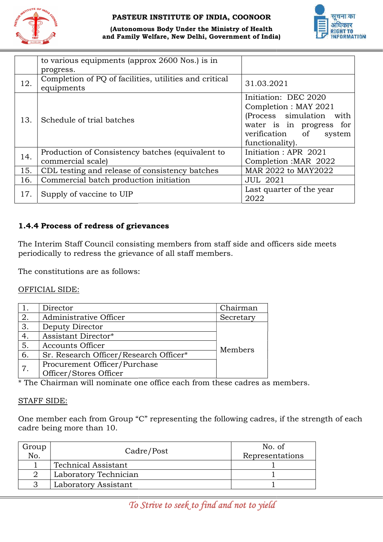



(Autonomous Body Under the Ministry of Health and Family Welfare, New Delhi, Government of India)

|     | to various equipments (approx 2600 Nos.) is in<br>progress.           |                                                                                                                                                       |
|-----|-----------------------------------------------------------------------|-------------------------------------------------------------------------------------------------------------------------------------------------------|
| 12. | Completion of PQ of facilities, utilities and critical<br>equipments  | 31.03.2021                                                                                                                                            |
| 13. | Schedule of trial batches                                             | Initiation: DEC 2020<br>Completion : MAY 2021<br>(Process simulation with<br>water is in progress for<br>verification of<br>system<br>functionality). |
| 14. | Production of Consistency batches (equivalent to<br>commercial scale) | Initiation : APR 2021<br>Completion: MAR 2022                                                                                                         |
| 15. | CDL testing and release of consistency batches                        | MAR 2022 to MAY2022                                                                                                                                   |
| 16. | Commercial batch production initiation                                | <b>JUL 2021</b>                                                                                                                                       |
| 17. | Supply of vaccine to UIP                                              | Last quarter of the year<br>2022                                                                                                                      |

#### 1.4.4 Process of redress of grievances of grievances

The Interim Staff Council consisting Council consisting members from staff side and officers side meets periodically to redress the grievance of all staff members.

|    | periodically to redress the grievance of all staff members.                               |           |  |
|----|-------------------------------------------------------------------------------------------|-----------|--|
|    | The constitutions are as follows:                                                         |           |  |
|    | OFFICIAL SIDE:                                                                            |           |  |
| 1. | Director                                                                                  | Chairman  |  |
| 2. | Administrative Officer                                                                    | Secretary |  |
| 3. | Deputy Director                                                                           |           |  |
| 4. | Assistant Director*                                                                       |           |  |
| 5. | <b>Accounts Officer</b>                                                                   | Members   |  |
| 6. | Sr. Research Officer/Research Officer*                                                    |           |  |
| 7. | Procurement Officer/Purchase                                                              |           |  |
|    | Officer/Stores Officer                                                                    |           |  |
|    | * The Chairman will nominate one office each from these cadres as members.                |           |  |
|    | <b>STAFF SIDE:</b>                                                                        |           |  |
|    | One member each from Group "C" representing the following cadres, if the strength of each |           |  |

#### STAFF SIDE:

cadre being more than 10.

| Group<br>No. | Cadre/Post                 | No. of<br>Representations |
|--------------|----------------------------|---------------------------|
|              | <b>Technical Assistant</b> |                           |
|              | Laboratory Technician      |                           |
|              | Laboratory Assistant       |                           |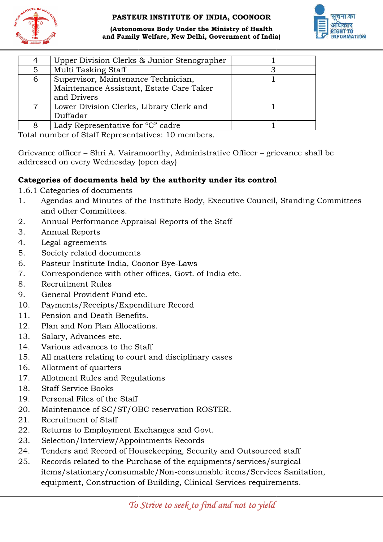





| 1907           | and Family Welfare, New Delhi, Government of India)                                                                         |                |
|----------------|-----------------------------------------------------------------------------------------------------------------------------|----------------|
| 4              | Upper Division Clerks & Junior Stenographer                                                                                 | 1              |
| 5              | Multi Tasking Staff                                                                                                         | 3              |
| 6              | Supervisor, Maintenance Technician,                                                                                         | $\overline{1}$ |
|                | Maintenance Assistant, Estate Care Taker                                                                                    |                |
|                | and Drivers                                                                                                                 |                |
| $\overline{7}$ | Lower Division Clerks, Library Clerk and<br>Duffadar                                                                        | $\mathbf{1}$   |
| 8              | Lady Representative for "C" cadre                                                                                           | 1              |
|                | Total number of Staff Representatives: 10 members.                                                                          |                |
|                | Grievance officer – Shri A. Vairamoorthy, Administrative Officer – grievance sha<br>addressed on every Wednesday (open day) |                |
|                | Categories of documents held by the authority under its control                                                             |                |
|                | 1.6.1 Categories of documents                                                                                               |                |
| 1.             | Agendas and Minutes of the Institute Body, Executive Council, Standing                                                      |                |
|                | and other Committees.                                                                                                       |                |
| 2.             | Annual Performance Appraisal Reports of the Staff                                                                           |                |
| 3.             | <b>Annual Reports</b>                                                                                                       |                |
| 4.             | Legal agreements                                                                                                            |                |
| 5.             | Society related documents                                                                                                   |                |
| 6.             | Pasteur Institute India, Coonor Bye-Laws                                                                                    |                |
| 7.             | Correspondence with other offices, Govt. of India etc.                                                                      |                |
| 8.             | <b>Recruitment Rules</b>                                                                                                    |                |
| 9.             | General Provident Fund etc.                                                                                                 |                |
| 10.            | Payments/Receipts/Expenditure Record                                                                                        |                |
| 11.            | Pension and Death Benefits.                                                                                                 |                |
| 12.            | Plan and Non Plan Allocations.                                                                                              |                |
| 13.            | Salary, Advances etc.                                                                                                       |                |
| 14.            | Various advances to the Staff                                                                                               |                |
| 15.            | All matters relating to court and disciplinary cases                                                                        |                |
| 16.            | Allotment of quarters                                                                                                       |                |
| 17.            | Allotment Rules and Regulations                                                                                             |                |
| 18.            | <b>Staff Service Books</b>                                                                                                  |                |
| 19.            | Personal Files of the Staff                                                                                                 |                |
| 20.            | Maintenance of SC/ST/OBC reservation ROSTER.                                                                                |                |
| 21.            | Recruitment of Staff                                                                                                        |                |
| 22.            | Returns to Employment Exchanges and Govt.                                                                                   |                |
| 23.            | Selection/Interview/Appointments Records                                                                                    |                |
| 24.            | Tenders and Record of Housekeeping, Security and Outsourced staff                                                           |                |
| 25.            | Records related to the Purchase of the equipments/services/surgical                                                         |                |
|                | items/stationary/consumable/Non-consumable items/Services Sanitation                                                        |                |
|                | equipment, Construction of Building, Clinical Services requirements.                                                        |                |

Grievance officer – Shri A. Vairamoorthy, Administrative Officer – grievance shall be addressed on every Wednesday (open day)

#### Categories of documents held by the authority under its control

- 1. Agendas and Minutes of the Institute Body, Executive Council, Standing Committees and other Committees.
- 2. Annual Performance Appraisal Reports of the Staff
- 3. Annual Reports
- 4. Legal agreements
- 5. Society related documents
- 6. Pasteur Institute India, Coonor Bye-Laws
- 7. Correspondence with other offices, Govt. of India etc.
- 8. Recruitment Rules
- 9. General Provident Fund etc.
- 10. Payments/Receipts/Expenditure Record
- 11. Pension and Death Benefits.
- 12. Plan and Non Plan Allocations.
- 13. Salary, Advances etc.
- 14. Various advances to the Staff
- 15. All matters relating to court and disciplinary cases
- 16. Allotment of quarters
- 17. Allotment Rules and Regulations
- 18. Staff Service Books
- 19. Personal Files of the Staff
- 20. Maintenance of SC/ST/OBC reservation ROSTER.
- 21. Recruitment of Staff
- 22. Returns to Employment Exchanges and Govt.
- 23. Selection/Interview/Appointments Records
- 24. Tenders and Record of Housekeeping, Security and Outsourced staff
- 25. Records related to the Purchase of the equipments/services/surgical items/stationary/consumable/Non consumable equipment, Construction of Building, Clinical Services requirements. Pension and Death Benefits.<br>
Plan and Non Plan Allocations.<br>
Salary, Advances etc.<br>
Various advances to the Staff<br>
All matters relating to court and disciplinary cases<br>
Allotment Rules and Regulations<br>
Staff Service Books<br>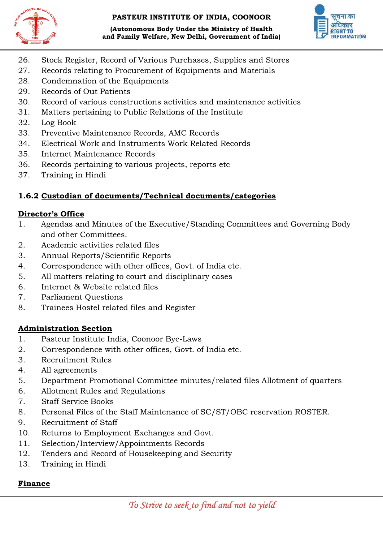

(Autonomous Body Under the Ministry of Health and Family Welfare, New Delhi, Government of India)



- 26. Stock Register, Record of Various Purchases, Supplies and Stores
- 26. Stock Register, Record of Various Purchases, Supplies and Sto<br>27. Records relating to Procurement of Equipments and Materials
- 28. Condemnation of the Equipments
- 29. Records of Out Patients
- 30. Record of various constructions activities and maintenance activities
- 31. Matters pertaining to Public Relations of the Institute 30. Record of various constructions activities and mai<br>
31. Matters pertaining to Public Relations of the Instit<br>
32. Log Book<br>
33. Preventive Maintenance Records, AMC Records<br>
34. Electrical Work and Instruments Work Rela
- 32. Log Book
- 33. Preventive Maintenance Records, AMC Records
- 34. Electrical Work and Instruments Work Related Records
- 35. Internet Maintenance Records
- 
- 37. Training in Hindi

# 1.6.2 Custodian of documents/Technical documents/categories

#### Director's Office

- 1. Agendas and Minutes of the Executive/Standing Committees and Governing Body and other Committees. and Family Welfare, New Delhi, Government of India)<br>
r, Record of Various Purchases, Supplies and Stores<br>
ing to Procurement of Equipments and Materials<br>
and the Equipments<br>
at Painchs<br>
at Painchs<br>
at Painchs<br>
at Painchs<br>
- 2. Academic activities related files
- 3. Annual Reports/Scientific Reports
- 4. Correspondence with other offices, Govt. of India etc. India
- 5. All matters relating to court and disciplinary cases
- 6. Internet & Website related files
- 7. Parliament Questions
- 8. Trainees Hostel related files and Register 5. All matters relating to court and disciplinar<br>
6. Internet & Website related files<br>
7. Parliament Questions<br>
8. Trainees Hostel related files and Register<br> **Administration Section**<br>
1. Pasteur Institute India, Coonoor B

#### Administration Section

- 
- 2. Correspondence with other offices, Govt. of India etc.
- 3. Recruitment Rules
- 4. All agreements
- 5. Department Promotional Committee minutes/related files Allotment of quarters
- 6. Allotment Rules and Regulations
- 7. Staff Service Books
- 8. Personal Files of the Staff Maintenance of SC/ST/OBC reservation ROSTER.
- 9. Recruitment of Staff
- 10. Returns to Employment Exchanges and Govt.
- 11. Selection/Interview/Appointments Records
- 12. Tenders and Record of Housekeeping and Security
- 13. Training in Hindi

# Finance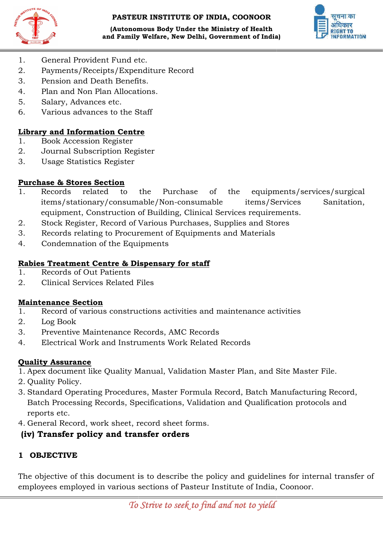



- 1. General Provident Fund etc.
- 2. Payments/Receipts/Expenditure Record
- 3. Pension and Death Benefits.
- 4. Plan and Non Plan Allocations.
- 5. Salary, Advances etc.
- 6. Various advances to the Staff

#### Library and Information Centre

- 1. Book Accession Register
- 2. Journal Subscription Register
- 3. Usage Statistics Register

#### Purchase & Stores Section

- 1. Records related to the Purchase of t items/stationary/consumable/Non items/stationary/consumable/Non-consumable items/Services Sanitation, equipment, Construction of Building, Clinical Services requirements. and Death Benefits.<br>
I Non Plan Allocations.<br>
Idvances etc.<br>
advances to the Staff<br> **formation Centre**<br>
cession Register<br>
Subscription Register<br>
atistics Register<br>
atistics Register<br>
related to the Purchase of the equipmen **and Family Welfare, New Delhi, Government of India)** Let  $\mu$  TW083X1189<br>
Provident Pund etc.<br>  $\sigma$  FS /Receipts/F5xpendirure Record<br>
states of Non Pina Allocations.<br>
Allowing the Density of Maximizary Book of Maximizary chase of the equipments/services/surgica<br>consumable items/Services Sanitatior<br>g, Clinical Services requirements.<br>archases, Supplies and Stores<br>Equipments and Materials<br>for staff<br>for staff<br>MC Records<br>MC Records<br>lidation Mas
- 2. Stock Register, Record of Various Purchases, Supplies and Stores
- 2. Stock Register, Record of Various Purchases, Supplies and Sto<br>3. Records relating to Procurement of Equipments and Materials
- 4. Condemnation of the Equipments

#### Rabies Treatment Centre & Dispensary for staff Rabies Treatment

- 1. Records of Out Patients
- 2. Clinical Services Related Files

#### Maintenance Section

- 1. Record of various constructions activities and maintenance activities cal Services Related Files<br>
Services Constructions activities and maintenance act<br>
Sook<br>
Intive Maintenance Records, AMC Records<br>
Fical Work and Instruments Work Related Records<br>
Surance<br>
Ument like Quality Manual, Validat
- 2. Log Book
- 3. Preventive Maintenance Records, AMC Records
- 4. Electrical Work and Instruments Work Related Records

#### Quality Assurance

- 1. Apex document like Quality Manual, Validation Master Plan, and Site Master File.
- 2. Quality Policy.
- 3. Standard Operating Procedures, Master Formula Record, Batch Manufacturing Record, Batch Processing Records, Specifications, Validation and Qualification protocols and<br>reports etc.<br>General Record, work sheet, record sheet forms. reports etc.
- 4. General Record, work sheet, record sheet forms.

# (iv) Transfer policy and transfer orders

# 1 OBJECTIVE

The objective of this document is to describe the policy and guidelines for internal transfer of employees employed in various sections of Pasteur Institute of India, Coonoor.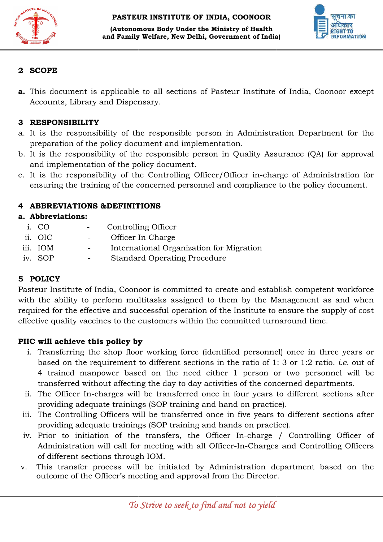



#### 2 SCOPE

a. This document is applicable to all sections of Pasteur Institute of India, Coonoor except Accounts, Library and Dispensary.

## 3 RESPONSIBILITY

- a. It is the responsibility of the responsible person in Administration Department for the preparation of the policy document and implementation.
- b. It is the responsibility of the responsible person in Quality Assurance (QA) for approval and implementation of the policy document. This document is applicable to all sections of Pasteur Institute of India, Coonoor except<br>Accounts, Library and Dispensary.<br>The individual Department for the responsibility of the responsible person in Administration Depar
- c. It is the responsibility of the Controlling Officer/Officer in charge ensuring the training of the concerned personnel and compliance to the policy document.

#### 4 ABBREVIATIONS &DEFINITIONS

#### a. Abbreviations:

- i. CO Controlling Officer
- ii. OIC Officer In Charge
- iii. IOM International Organization for Migration
- iv. SOP Standard Operating Procedure

#### 5 POLICY

i. CO - Controlling Officer<br>
ii. OIC - Officer In Charge<br>
iii. IOM - International Organization for Migration<br>
iv. SOP - Standard Operating Procedure<br> **5 POLICY**<br>
Pasteur Institute of India, Coonoor is committed to create with the ability to perform multitasks assigned to them by the Management as and when required for the effective and successful operation of the Institute to ensure the supply of cost effective quality vaccines to the customers within the committed turnaround time. ability to perform multitasks assigned to them by the Management as and<br>for the effective and successful operation of the Institute to ensure the supply c<br>quality vaccines to the customers within the committed turnaround **and Family Welfare, New Delhi, Government of India)**<br> **COPE**<br> **COPE**<br> **COPE**<br> **COPE**<br> **COPE**<br> **COPE**<br> **COPE**<br> **COPE**<br> **COPE**<br> **COPE**<br> **COPED**<br> **COPE**<br> **COPED**<br> **COPED**<br> **COPED**<br> **COPED**<br> **COPED**<br> **COPED**<br> **COPED**<br> **COPED** 

# PIIC will achieve this policy by

- i. Transferring the shop floor working force (identified personnel) once in three years or based on the requirement to different sections in the ratio of  $1:3$  or  $1:2$  ratio. *i.e.* out of 4 trained manpower based on the need either 1 person or two personnel will be transferred without affecting the day to day activities of the concerned departments. 4 trained manpower based on the need either 1 person or two personnel will be transferred without affecting the day to day activities of the concerned departments.<br>ii. The Officer In-charges will be transferred once in fou
- providing adequate trainings (SOP training and hand on practice).
- iii. The Controlling Officers will be transferred once in five years to different sections after providing adequate trainings (SOP training and hands on practice). providing adequate trainings (SOP training and hand on practice).<br>
iii. The Controlling Officers will be transferred once in five years to different sections after<br>
providing adequate trainings (SOP training and hands on p
- Administration will call for meeting with all Officer-In-Charges and Controlling Officers of different sections through IOM. In-charge<br>-In-Charges<br>istration de
- of different sections through IOM.<br>v. This transfer process will be initiated by Administration department based on the outcome of the Officer's meeting and approval from the Director.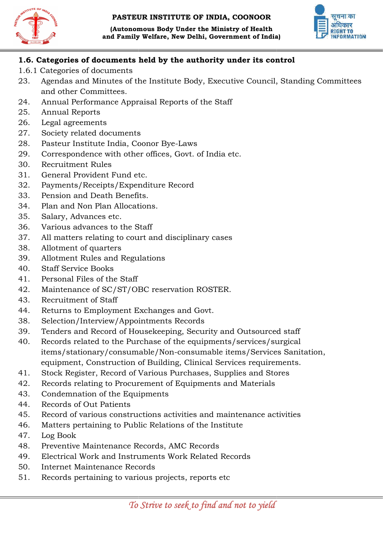





#### 1.6. Categories of documents held by the authority under its control 1.6. Categories

- 1.6.1 Categories of documents
- 23. Agendas and Minutes of the Institute Body, Executive Council, Standing Standing Committees and other Committees.
- 24. Annual Performance Appraisal Reports of the Staff
- 25. Annual Reports
- 26. Legal agreements
- 27. Society related documents
- 28. Pasteur Institute India, Coonor Bye-Laws
- 29. Correspondence with other offices, Govt. of India etc.
- 30. Recruitment Rules
- 31. General Provident Fund etc.
- 32. Payments/Receipts/Expenditure Record
- 33. Pension and Death Benefits.
- 34. Plan and Non Plan Allocations.
- 35. Salary, Advances etc.
- 36. Various advances to the Staff
- 33. Pension and Death Benefits.<br>34. Plan and Non Plan Allocations.<br>35. Salary, Advances etc.<br>36. Various advances to the Staff<br>37. All matters relating to court and disciplinary cases
- 38. Allotment of quarters
- 39. Allotment Rules and Regulations
- 40. Staff Service Books
- 41. Personal Files of the Staff
- 42. Maintenance of SC/ST/OBC reservation ROSTER.
- 43. Recruitment of Staff
- 44. Returns to Employment Exchanges and Govt.
- 38. Selection/Interview/Appointments Record Records
- 39. Tenders and Record of Housekeeping, Security and Outsourced staff
- 40. Records related to the Purchase of the equipments/services/surgical Tenders and Record of Housekeeping, Security and Outsourced staff<br>Records related to the Purchase of the equipments/services/surgical<br>items/stationary/consumable/Non-consumable items/Services Sanitation, equipment, Construction of Building, Clinical Services requirements. consumable items/Serv<br>g, Clinical Services requi<br>irchases, Supplies and {<br>Equipments and Materia<br>vities and maintenance
- 41. Stock Register, Record of Various Purchases, Supplies and Stores
- 41. Stock Register, Record of Various Purchases, Supplies and Sto<br>42. Records relating to Procurement of Equipments and Materials
- 43. Condemnation of the Equipments
- 44. Records of Out Patients
- 45. Record of various constructions activities and maintenance activities
- 46. Matters pertaining to Public Relations of the Institute
- 47. Log Book
- 48. Preventive Maintenance Records, AMC Records
- 49. Electrical Work and Instruments Work Related Records
- 50. Internet Maintenance Records
- 50. Internet Maintenance Records<br>51. Records pertaining to various projects, reports etc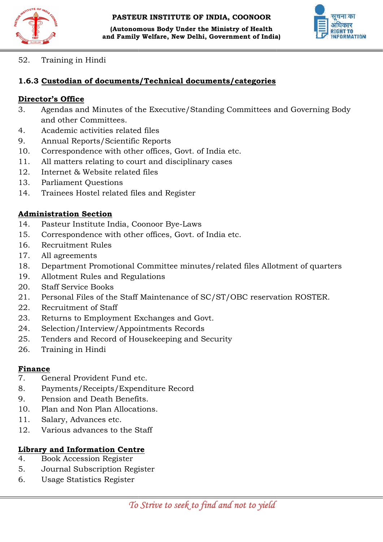



52. Training in Hindi

#### 1.6.3 Custodian of documents/Technical documents/categories

#### Director's Office

- 3. Agendas and Minutes of the Executive/Standing Committees and Governing Body and other Committees. and Family Welfare, New Delhi, Government of India)<br>
in Hindi<br>
in Hindi<br>
an of documents/Technical documents/categories<br>
and Minutes of the Executive/Standing Committees an<br>
and Minutes of the Executive/Standing Committees
- 4. Academic activities related files
- 9. Annual Reports/Scientific Reports
- 10. Correspondence with other offices, Govt. of India etc.
- 11. All matters relating to court and disciplinary cases
- 12. Internet & Website related files
- 13. Parliament Questions
- 14. Trainees Hostel related files and Register 11. All matters relating to court and disciplinar<br>12. Internet & Website related files<br>13. Parliament Questions<br>14. Trainees Hostel related files and Register<br>**Administration Section**<br>14. Pasteur Institute India, Coonoor B

#### Administration Section

- 
- 15. Correspondence with other offices, Govt. of India etc.
- 16. Recruitment Rules
- 17. All agreements
- 18. Department Promotional Committee minutes/related files Allotment of quarters
- 19. Allotment Rules and Regulations
- 20. Staff Service Books
- 21. Personal Files of the Staff Maintenance of SC/ST/OBC reservation ROSTER.<br>22. Recruitment of Staff<br>23. Returns to Employment Exchanges and Govt.<br>24. Selection/Interview/Appointments Records<br>25. Tenders and Record of Hou
- 22. Recruitment of Staff
- 23. Returns to Employment Exchanges and Govt.
- 24. Selection/Interview/Appointments Records
- 25. Tenders and Record of Housekeeping and Security
- 26. Training in Hindi

#### Finance

- 7. General Provident Fund etc.
- 8. Payments/Receipts/Expenditure Record
- 9. Pension and Death Benefits.
- 10. Plan and Non Plan Allocations.
- 11. Salary, Advances etc.
- 12. Various advances to the Staff

# Library and Information Centre

- 4. Book Accession Register
- 5. Journal Subscription Register
- 6. Usage Statistics Register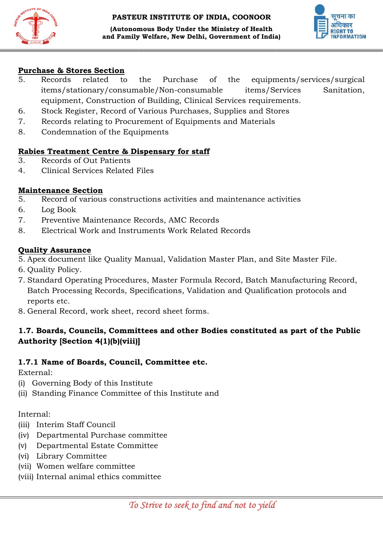



#### Purchase & Stores Section

- 5. Records related to the Purchase of t items/stationary/consumable/Non items/stationary/consumable/Non-consumable items/Services Sanitation, equipment, Construction of Building, Clinical Services requirements. equipments/services/surgical and Family Welfare, New Delhi, Government of India)<br> **Section**<br>
Indiaded to the Purchase of the equipment<br>
anary/consumable/Non-consumable items/Ser<br>
construction of Building, Clinical Services requirem<br>
r, r, Record of Va chase of the equipments/services/surgica<br>consumable items/Services Sanitatior<br>g, Clinical Services requirements.<br>urchases, Supplies and Stores<br>Equipments and Materials<br>for staff<br>for staff<br>MC Records<br>MC Records<br>lidation Mas
- 6. Stock Register, Record of Various Purchases, Supplies and Stores uipment, Construction of Building, Clinical Services<br>ock Register, Record of Various Purchases, Supplies<br>ecords relating to Procurement of Equipments and Ma
- 7. Records relating to Procurement of Equipments and Materials
- 8. Condemnation of the Equipments

#### Rabies Treatment Centre & Dispensary for staff Rabies Treatment

- 3. Records of Out Patients
- 4. Clinical Services Related Files

#### Maintenance Section

- 5. Record of various constructions activities and maintenance activities
- 6. Log Book
- 7. Preventive Maintenance Records, AMC Records
- 8. Electrical Work and Instruments Work Related Records

#### Quality Assurance

- 5. Record of various constructions activities and maintenance activities<br>
6. Log Book<br>
7. Preventive Maintenance Records, AMC Records<br>
8. Electrical Work and Instruments Work Related Records<br> **Quality Assurance**<br>
5. Apex d
- 6. Quality Policy.
- 7. Standard Operating Procedures, Master Formula Record, Batch Ma Batch Processing Records, Specifications, Validation and Qualification protocols and<br>reports etc.<br>General Record, work sheet, record sheet forms. reports etc.
- 8. General Record, work sheet, record sheet forms.

# 1.7. Boards, Councils, Committees and other Bodies constituted as part of the Public Authority [Section 4(1)(b)(viii)]

#### 1.7.1 Name of Boards, Council, Committee etc.

External:

- (i) Governing Body of this Institute
- (i) Governing Body of this Institute<br>(ii) Standing Finance Committee of this Institute and

#### Internal:

- (iii) Interim Staff Council
- (iv) Departmental Purchase committee
- (v) Departmental Estate Committee
- (vi) Library Committee
- (vii) Women welfare committee
- (viii) Internal animal ethics committee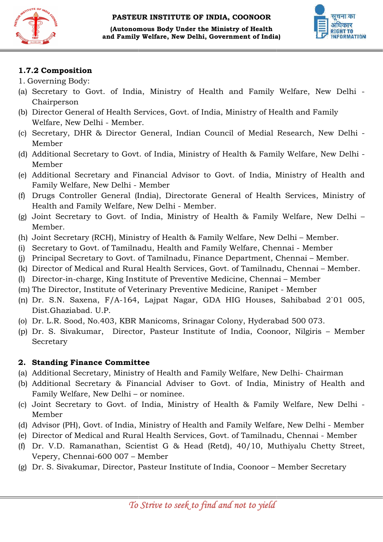



#### 1.7.2 Composition

- 1. Governing Body:
- (a) Secretary to Govt. of India, Ministry of Health and Family Welfare, New Delhi -Chairperson (a) Secretary to Govt. of India, Ministry of Health and Family Welfare, New D.<br>Chairperson<br>(b) Director General of Health Services, Govt. of India, Ministry of Health and Family
- Welfare, New Delhi Member.
- (c) Secretary, DHR & Director General, Indian Council of Medial Research, New Delhi Member
- (d) Additional Secretary to Govt. of India, Ministry of Health & Family Welfare, New Delhi Member
- (e) Additional Secretary and Financial Advisor to Govt. of India, Ministry of Health and Family Welfare, New Delhi of India, Ministry of Health & Family Welfare,<br>inancial Advisor to Govt. of India, Ministry of<br>Member
- (f) Drugs Controller General (India), Directorate General of Health Services, Ministry of Health and Family Welfare, New Delhi Member. Health and Family Welfare, New Delhi - Member.
- (g) Joint Secretary to Govt. of India, Ministry of Health & Family Welfare, New Delhi Member. cretary to Govt. of India, Ministry of Health & Family Welfare, New Delhi – Men<br>Partary (RCH), Ministry of Health & Family Welfare, New Delhi – Men<br>Jo Govt. of Tamilnadu, Health and Family Welfare, Chennai - Mem<br>Jo Secreta
- (h) Joint Secretary (RCH), Ministry of Health & Family Welfare, New Delhi – Member.
- (i) Secretary to Govt. of Tamilnadu, Health and Family Welfare, Chennai Member
- (j) Principal Secretary to Govt. of Tamilnadu, Finance Department, Chennai Member.
- (k) Director of Medical and Rural Health Services, Govt. of Tamilnadu, Chennai Member.
- (l) Director-in-charge, King Institute of Preventive Medicine, Chennai Member
- (m) The Director, Institute of Veterinary Preventive Medicine, Ranipet Member
- (n) Dr. S.N. Saxena, F/A-164, Lajpat Nagar, GDA HIG Houses, Sah Dist.Ghaziabad. U.P. charge, King Institute of Preventive Medicine, Chennai – Member<br>r, Institute of Veterinary Preventive Medicine, Ranipet - Member<br>axena, F/A-164, Lajpat Nagar, GDA HIG Houses, Sahibabad<br>bad. U.P.<br>od, No.403, KBR Manicoms, S Sahibabad 2`01 005,
- (o) Dr. L.R. Sood, No.403, KBR Manicoms, Srinagar Colony, Hyderabad 500 073.
- (p) Dr. S. Sivakumar, Director, Pasteur Institute of India, Coonoor, Nilgiris Member Secretary

#### 2. Standing Finance Committee Standing Finance

- (a) Additional Secretary, Ministry of Health and Family Welfare, New Delhi- Chairman
- (b) Additional Secretary & Financial Adviser to Govt. of India, Ministry of Health and Family Welfare, New Delhi – or nominee.
- (c) Joint Secretary to Govt. of India, Ministry of Health & Family Welfare, New Delhi -Member
- (d) Advisor (PH), Govt. of India, Ministry of Health and Family Welfare, New Delhi - Member
- (e) Director of Medical and Rural Health Services, Govt. of Tamilnadu, Chennai Member
- (f) Dr. V.D. Ramanathan, Scientist G & Head (Retd), 40/10, Muthiyalu C Chetty Street, Vepery, Chennai-600 007 – Member cretary to Govt. of India, Ministry of Health & Family<br>PH), Govt. of India, Ministry of Health and Family Welfar<br>of Medical and Rural Health Services, Govt. of Tamilnad<br>Ramanathan, Scientist G & Head (Retd), 40/10, Mi<br>Chen
- (g) Dr. S. Sivakumar, Director, Pasteur Institute of India, Coonoor Member Secretary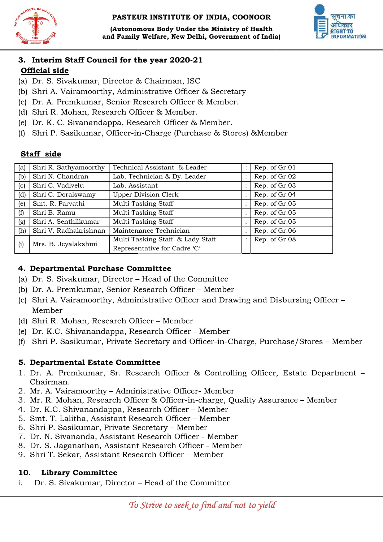





# 3. Interim Staff Council for the year 2020-21

# Official side

- (a) Dr. S. Sivakumar, Director & Chairman, ISC
- (b) Shri A. Vairamoorthy, Administrative Officer & Secretary
- (c) Dr. A. Premkumar, Senior Research Officer & Member.
- (d) Shri R. Mohan, Research Officer & Member.
- (e) Dr. K. C. Sivanandappa, Research Officer & Member.
- (b) Shri A. Vairamoorthy, Administrative Officer & Secretary<br>
(c) Dr. A. Premkumar, Senior Research Officer & Member.<br>
(d) Shri R. Mohan, Research Officer & Member.<br>
(e) Dr. K. C. Sivanandappa, Research Officer & Member.<br>

# Staff side

| (f) | Shri P. Sasikumar, Officer-in-Charge (Purchase & Stores) & Member |                                                                                       |  |               |
|-----|-------------------------------------------------------------------|---------------------------------------------------------------------------------------|--|---------------|
|     | Staff side                                                        |                                                                                       |  |               |
| (a) | Shri R. Sathyamoorthy                                             | Technical Assistant & Leader                                                          |  | Rep. of Gr.01 |
| (b) | Shri N. Chandran                                                  | Lab. Technician & Dy. Leader                                                          |  | Rep. of Gr.02 |
| (c) | Shri C. Vadivelu                                                  | Lab. Assistant                                                                        |  | Rep. of Gr.03 |
| (d) | Shri C. Doraiswamy                                                | <b>Upper Division Clerk</b>                                                           |  | Rep. of Gr.04 |
| (e) | Smt. R. Parvathi                                                  | Multi Tasking Staff                                                                   |  | Rep. of Gr.05 |
| (f) | Shri B. Ramu                                                      | Multi Tasking Staff                                                                   |  | Rep. of Gr.05 |
| (g) | Shri A. Senthilkumar                                              | Multi Tasking Staff                                                                   |  | Rep. of Gr.05 |
| (h) | Shri V. Radhakrishnan                                             | Maintenance Technician                                                                |  | Rep. of Gr.06 |
| (i) | Mrs. B. Jeyalakshmi                                               | Multi Tasking Staff & Lady Staff<br>Representative for Cadre 'C'                      |  | Rep. of Gr.08 |
|     | 4. Departmental Purchase Committee                                |                                                                                       |  |               |
|     |                                                                   | (a) Dr. S. Sivakumar, Director – Head of the Committee                                |  |               |
|     |                                                                   | (b) Dr. A. Premkumar, Senior Research Officer – Member                                |  |               |
|     |                                                                   | (c) Shri A. Vairamoorthy, Administrative Officer and Drawing and Disbursing Officer – |  |               |

#### 4. Departmental Purchase Committee Committee

- (a) Dr. S. Sivakumar, Director – Head of the Committee
- (b) Dr. A. Premkumar, Senior Research Officer Member
- (c) Shri A. Vairamoorthy, Administrative Officer and Drawing and Disbursing Officer Member
- (d) Shri R. Mohan, Research Officer Member
- (e) Dr. K.C. Shivanandappa, Research Officer Member
- (f) Shri P. Sasikumar, Private Secretary and Officer-in-Charge, Purchase/Stores Member

# 5. Departmental Estate Committee

- 1. Dr. A. Premkumar, Sr. Research Officer & Controlling Officer, Estate Department Chairman.<br>
2. Mr. A. Vairamoorthy Administrative Officer- Member Chairman.
- 2. Mr. A. Vairamoorthy Administrative Officer
- 3. Mr. R. Mohan, Research Officer & Officer-in-charge, Quality Assurance Member
- 4. Dr. K.C. Shivanandappa, Research Officer Member
- 5. Smt. T. Lalitha, Assistant Research Officer Member
- 6. Shri P. Sasikumar, Private Secretary Member
- 7. Dr. N. Sivananda, Assistant Research Officer Member
- 8. Dr. S. Jaganathan, Assistant Research Officer Member
- 9. Shri T. Sekar, Assistant Research Officer Member

# 10. Library Committee

i. Dr. S. Sivakumar, Director – – Head of the Committee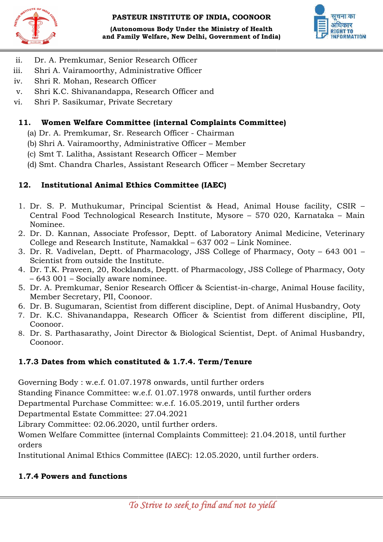



- ii. Dr. A. Premkumar, Senior Research Officer
- iii. Shri A. Vairamoorthy, Administrative Officer Dr. A. Premkumar, Senior Research Officer<br>Shri A. Vairamoorthy, Administrative Officer<br>Shri R. Mohan, Research Officer<br>Shri K.C. Shivanandappa, Research Officer and
- iv. Shri R. Mohan, Research Officer
- v. Shri K.C. Shivanandappa, Research Officer
- vi. Shri P. Sasikumar, Private Secretary

# 11. Women Welfare Committee (internal Complaints Committee) Shri P. Sasikumar, Private Secretary<br>**Women Welfare Committee (internal Complaints**) Dr. A. Premkumar, Sr. Research Officer - Chairman

- (a) Dr. A. Premkumar, Sr. Research Officer
- (b) Shri A. Vairamoorthy, Administrative Officer Member
- (c) Smt T. Lalitha, Assistant Research Officer Smt Member
- (d) Smt. Chandra Charles, Assistant Research Officer Member Secretary

# 12. Institutional Animal Ethics Committee (IAEC)

- 1. Dr. S. P. Muthukumar, Principal Scientist & Head, Animal House facility, CSIR -Central Food Technological Research Institute, Mysore – 570 020, Karnataka – Main Nominee.
- 2. Dr. D. Kannan, Associate Professor, Deptt. of Laboratory Animal Medicine, Veterinary College and Research Institute, Namakkal - 637 002 - Link Nominee.
- 3. Dr. R. Vadivelan, Deptt. of Pharmacology, JSS College of Pharmacy, Ooty 643 001 -Scientist from outside the Institute.
- 4. Dr. T.K. Praveen, 20, Rocklands, Deptt. of Pharmacology, JSS College of Pharmacy, Ooty – 643 001 – Socially aware nominee. 4. Dr. T.K. Praveen, 20, Rocklands, Deptt. of Pharmacology, JSS College of Pharmacy, Ooty<br>– 643 001 – Socially aware nominee.<br>5. Dr. A. Premkumar, Senior Research Officer & Scientist-in-charge, Animal House facility,
- Member Secretary, PII, Coonoor.
- 6. Dr. B. Sugumaran, Scientist from different discipline, Dept. of Animal Husbandry, Ooty
- 7. Dr. K.C. Shivanandappa, Research Officer & Scientist from different discipline, PII, Coonoor. ember Secretary, PII, Coonoor.<br>r. B. Sugumaran, Scientist from different discipline, Dept. of Animal Husbandry, Ooty<br>r. K.C. Shivanandappa, Research Officer & Scientist from different discipline, PII,<br>ponoor.<br>r. S. Parthas
- 8. Dr. S. Parthasarathy, Joint Director & Biological Scientist, Dept. of Animal Husbandry, Coonoor.

# 1.7.3 Dates from which constituted & 1.7.4. Term/Tenure

Governing Body : w.e.f. 01.07.1978 onwards, until further orders

Standing Finance Committee: w.e.f. 01.07.1978 onwards, until further orders w.e.f. 01.07.1978 onwards, until further orders<br>Committee: w.e.f. 01.07.1978 onwards, until fu<br>chase Committee: w.e.f. 16.05.2019, until furth<br>ate Committee: 27.04.2021

Departmental Purchase Committee: w.e.f. 16.05.2019, until further orders

Departmental Estate Committee:

Library Committee: 02.06.2020, until further orders.

Women Welfare Committee (internal Complaints Committee): 21.04.2018, until further<br>orders<br>Institutional Animal Ethics Committee (IAEC): 12.05.2020, until further orders. orders k Scientist-in-charge,<br>iscipline, Dept. of Anir<br>& Scientist from di:<br>gical Scientist, Dept.<br>**Term/Tenure**<br>til further orders<br>onwards, until furthe<br>i.2019, until further or<br>ders.<br>8 Committee): 21.04.20<br>2.05.2020, until furt

Institutional Animal Ethics Committee (IAEC): 12.05.2020, until further orders.

# 1.7.4 Powers and functions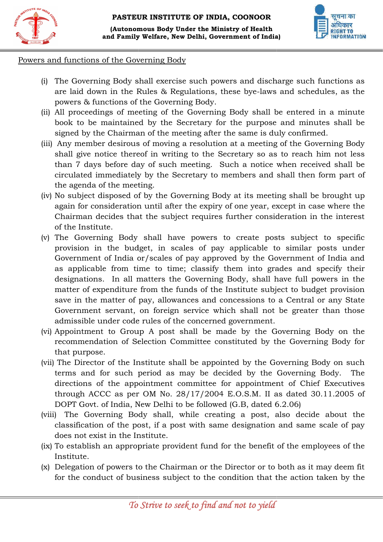

#### Powers and functions of the Governing Body

- (i) The Governing Body shall exercise such powers and discharge such functions as are laid down in the Rules & powers & functions of the Governing Body. Powers and functions of the Governing Body<br>(i) The Governing Body shall exercise such powers and discharge such functions as<br>are laid down in the Rules & Regulations, these bye-laws and schedules, as the
	- (ii) All proceedings of meeting of the Governing Body shall be entered in a minute book to be maintained by the Secretary for the purpose and minutes shall be signed by the Chairman of the meeting after the same is duly confirmed. oceedings of meeting of the Governing Body shall be entered in a<br>to be maintained by the Secretary for the purpose and minutes s<br>I by the Chairman of the meeting after the same is duly confirmed.
	- (iii) Any member desirous of moving a resolution at a meeting of the Governing Body shall give notice thereof in writing to the Secretary so as to reach him not less Any member desirous of moving a resolution at a meeting of the Governing Body shall give notice thereof in writing to the Secretary so as to reach him not less than 7 days before day of such meeting. Such a notice when rec circulated immediately by the Secretary to members and shall then form part of the agenda of the meeting.
	- (iv) No subject disposed of by the Governing Body at its meeting shall be brought up again for consideration until after the expiry of one year, except in case where the Chairman decides that the subject requires further consideration in the interest of the Institute. circulated immediately by the Secretary to members and shall then form part of<br>the agenda of the meeting.<br>No subject disposed of by the Governing Body at its meeting shall be brought up<br>again for consideration until after
- (v) The Governing Body shall have powers to create posts subject to specific provision in the budget, in scales of pay applicable to similar posts under Government of India or/scales of pay approved by the Government of India and<br>as applicable from time to time; classify them into grades and specify their<br>designations. In all matters the Governing Body, shall have full pow as applicable from time to time; classify them into grades and specify their designations. In all matters the Governing Body, shall have full powers in the matter of expenditure from the funds of the Institute subject to budget provision save in the matter of pay, allowances and concessions to a Central or any State Government servant, on foreign service which shall not be greate admissible under code rules of the concerned government. the Governing Gody shall have powers to create posts subject to specific<br>Governing Body shall have powers to create posts subject to specific<br>sion in the budget, in scales of pay applicable to similar posts under matter of expenditure from the funds of the Institute subject to budget provision<br>save in the matter of pay, allowances and concessions to a Central or any State<br>Government servant, on foreign service which shall not be gr and Pamily Welfare, New Delhi, Government of India)<br>
unctions of the Governing Body<br>
Governing Body<br>
Governing Body<br>
Governing Body<br>
Governing Body<br>
Governing Body<br>
Coverning Body<br>
Stand down in the Rules & Regulations, t es & Regulations, these bye-laws and schedules, as the<br>
c Governing Body.<br>
ng of the Governing Body shall be entered in a minute<br>
oy the Secretary for the purpose and minutes shall be<br>
of the meeting after the same is duly
	- (vi) Appointment to Group A post shall be made by the Governing Body on the recommendation of Selection Committee constituted by the Governing Body for that purpose.
	- (vii) The Director of the Institute shall be appointed by the Governing Body on such terms and for such period as may be decided by the Governing Body. The terms and for such period as may be decided by the Governin terms and for such period as may be decided by the Governing Body. The<br>directions of the appointment committee for appointment of Chief Executives directions of the appointment committee for appointment of Chief Executives<br>through ACCC as per OM No. 28/17/2004 E.O.S.M. II as dated 30.11.2005 of DOPT Govt. of India, New Delhi to be followed (G.B, dated 6.2.06)
	- (viii) The Governing Body shall, while creating a post, also decide about the classification of the post, if a post with same designation and same scale of pay does not exist in the Institute. ACCC as per OM No.  $28/17/2004$  E.O.S.M. II as dated 30.11.2005<br>iovt. of India, New Delhi to be followed (G.B, dated 6.2.06)<br>Governing Body shall, while creating a post, also decide about<br>ation of the post, if a post with
	- (ix) To establish an appropriate provident fund for the benefit of the employees of the Institute.
	- (x) Delegation of powers to the Chairman or the Dire ctor as it may deem fit for the conduct of business subject to the condition that the action taken by the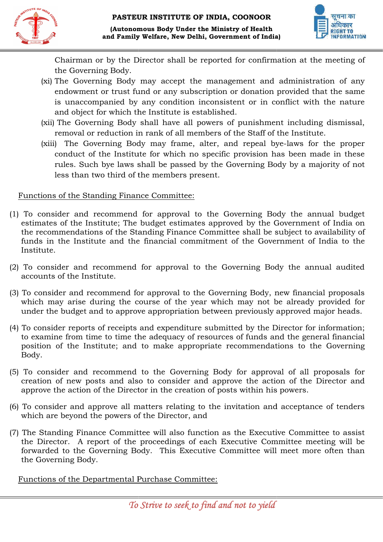



Chairman or by the Director shall be reported for confirmation at the meeting of the Governing Body.

- (xi) The Governing Body may accept the management and administration of any endowment or trust fund or any subscription or donation provided that the same is unaccompanied by any condition inconsistent or in conflict with the nature and object for which the Institute is established. Chairman or by the Director shall be reported for confirmation at the meeting<br>the Governing Body.<br>The Governing Body may accept the management and administration of an<br>endowment or trust fund or any subscription or donatio
- (xii) The Governing Body shall have all powers of punishment including dismissal, removal or reduction in rank of all members of the Staff of the Institute.
- (xiii) The Governing Body may frame, alter, and repeal bye-laws for the proper conduct of the Institute for which no specific provision has been made in these rules. Such bye laws shall be passed by the Governing Body by a m majority of not less than two third of the members present.

#### Functions of the Standing Finance Committee:

- (1) To consider and recommend for approval to the Governing Body the annual budget estimates of the Institute; The budget estimates approved by the Gov Government of India on the recommendations of the Standing Finance Committee shall be subject to availability of funds in the Institute and the financial commitment of the Government of India to the Institute. For Constant (xiii) The Governing Body may frame, alter, and repeal bye-laws for the proper conduct of the Institute for which no specific provision has been made in these rules. Such bye laws shall be passed by the Govern
- (2) To consider and recommend for approval to the accounts of the Institute.
- (3) To consider and recommend for approval to the Governing Body, new financial proposals which may arise during the course of the year which may not be already provided for under the budget and to approve appropriation between previously approved major heads.
- (4) To consider reports of receipts and expenditure submitted by the Director for information; to examine from time to time the adequacy of resources of funds and the general financial position of the Institute; and to make appropriate recommendations to the Governing Body. To consider and recommend for approval to the Governing Body, new financial proposal<br>which may arise during the course of the year which may not be already provided fo<br>ander the budget and to approve appropriation between
- (5) To consider and recommend to the Governing Body for approval of all proposals for creation of new posts and also to consider and approve the action of the Director and approve the action of the Director in the creation of posts within his powers.
- (6) To consider and approve all matters relating to the invitation and acceptance of tenders which are beyond the powers of the Director, and approve the action of the Director in the creation of posts within his powers.<br>
(6) To consider and approve all matters relating to the invitation and acceptance of tenders<br>
which are beyond the powers of the Director, and
- the Director. A report of the proceedings of each Executive Committee meeting will be forwarded to the Governing Body. This Executive Committee will meet more often than the Governing Body.

Functions of the Departmental Purchase Committee: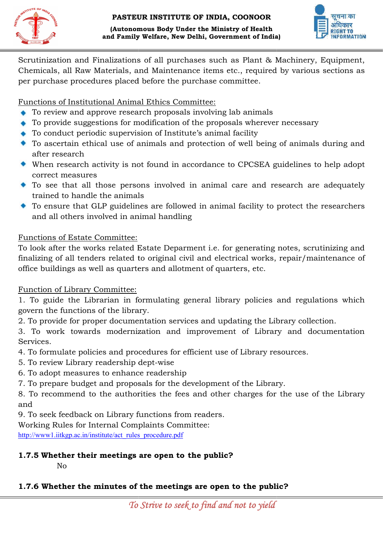

(Autonomous Body Under the Ministry of Health and Family Welfare, New Delhi, Government of India)



Scrutinization and Finalizations of all purchases such as Plant & Machinery, Equipment, Chemicals, all Raw Materials, and Maintenance items etc., required by various sections as per purchase procedures placed before the purchase committee. atinization and Finalizations of all purchases such as Plant<br>micals, all Raw Materials, and Maintenance items etc., requi<br>purchase procedures placed before the purchase committee.

## Functions of Institutional Animal Ethics Committee:

- ◆ To review and approve research proposals involving lab animals
- $\bullet$  To provide suggestions for modification of the proposals wherever necessary
- ◆ To conduct periodic supervision of Institute's animal facility
- To ascertain ethical use of animals and protection of well being of animals during and after research
- When research activity is not found in accordance to CPCSEA guidelines to help adopt correct measures
- To see that all those persons involved in animal care and research are adequately trained to handle the animals
- To ensure that GLP guidelines are followed in animal facility to protect the researchers and all others involved in animal handling

#### Functions of Estate Committee:

To look after the works related Estate Deparment i.e. for generating notes, scrutinizing and finalizing of all tenders related to original civil and electrical works, repair/maintenance of office buildings as well as quarters and allotment of quarters, etc. <p>\n• To provide suggestions for modification of the proposals wherever necessary\n <math display="inline">\bullet</math> To conduct periodic supervision of Institute's animal facility\n <math display="inline">\bullet</math> To ascertain ethical use of animals and protection of well being of animals during and after research activity is not found in accordance to CPCSEA guidelines to help adopt correct measurements\n</p>\n<p>\n• To see that all those persons involved in animal care and research are adequately trained to handle the animals\n</p>\n<p>\n• To ensure that GLP guidelines are followed in animal facility to protect the researchers and all others involved in animal handling\n</p>\n<p>\nFunctions of Estate Committee:\n</p>\n<p>\nTo look after the works related Estate Department i.e. for generating notes, scrutinizing and finalizing of all tendency related to original civil and electrical works, repair/maintename of office buildings as well as quarters and allotment of quarters, etc.\n</p>

#### Function of Library Committee:

1. To guide the Librarian in formulating general library policies and regulations which govern the functions of the library. govern the functions of the library.

2. To provide for proper documentation services and updating the Library collection.

3. To work towards modernization and improvement of Library and documentation<br>Services.<br>4. To formulate policies and procedures for efficient use of Library resources.<br>5. To review Library readership dept-wise Services.

- 4. To formulate policies and procedures for efficient use of Library resources.
- 5. To review Library readership dept
- 6. To adopt measures to enhance readership
- 7. To prepare budget and proposals for the development of the Library.

6. To adopt measures to enhance readership<br>7. To prepare budget and proposals for the development of the Library.<br>8. To recommend to the authorities the fees and other charges for the use of the Library and

9. To seek feedback on Library functions from readers. 9. To

Working Rules for Internal Complaints Committee:

http://www1.iitkgp.ac.in/institute/act\_rules\_procedure.pdf

# 1.7.5 Whether their meetings are open to the public?

No

#### 1.7.6 Whether the minutes of the meetings are open to the public?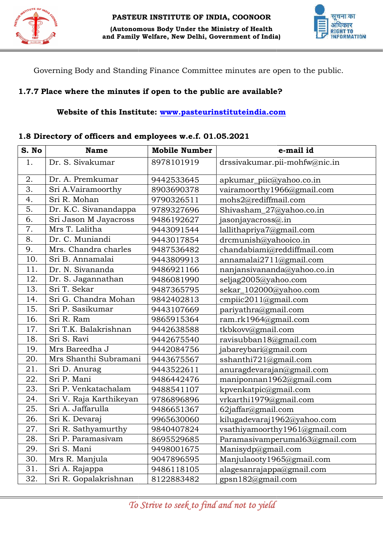



Governing Body and Standing Finance Committee minutes are open to the public.

# 1.7.7 Place where the minutes if open to the public are available?

#### Website of this Institute: www.pasteurinstituteindia.com

#### 1.8 Directory of officers and employees w.e.f. 01.05.2021

| S. No | <b>Name</b>             | <b>Mobile Number</b> | e-mail id                      |
|-------|-------------------------|----------------------|--------------------------------|
| 1.    | Dr. S. Sivakumar        | 8978101919           | drssivakumar.pii-mohfw@nic.in  |
| 2.    | Dr. A. Premkumar        | 9442533645           | apkumar_piic@yahoo.co.in       |
| 3.    | Sri A.Vairamoorthy      | 8903690378           | vairamoorthy1966@gmail.com     |
| 4.    | Sri R. Mohan            | 9790326511           | mohs2@rediffmail.com           |
| 5.    | Dr. K.C. Sivanandappa   | 9789327696           | Shivasham_27@yahoo.co.in       |
| 6.    | Sri Jason M Jayacross   | 9486192627           | jasonjayacross@.in             |
| 7.    | Mrs T. Lalitha          | 9443091544           | lallithapriya7@gmail.com       |
| 8.    | Dr. C. Muniandi         | 9443017854           | drcmunish@yahooico.in          |
| 9.    | Mrs. Chandra charles    | 9487536482           | chandabiami@reddiffmail.com    |
| 10.   | Sri B. Annamalai        | 9443809913           | annamalai2711@gmail.com        |
| 11.   | Dr. N. Sivananda        | 9486921166           | nanjansivananda@yahoo.co.in    |
| 12.   | Dr. S. Jagannathan      | 9486081990           | seljag2005@yahoo.com           |
| 13.   | Sri T. Sekar            | 9487365795           | sekar_102000@yahoo.com         |
| 14.   | Sri G. Chandra Mohan    | 9842402813           | cmpiic2011@gmail.com           |
| 15.   | Sri P. Sasikumar        | 9443107669           | pariyathra@gmail.com           |
| 16.   | Sri R. Ram              | 9865915364           | ram.rk1964@gmail.com           |
| 17.   | Sri T.K. Balakrishnan   | 9442638588           | tkbkovv@gmail.com              |
| 18.   | Sri S. Ravi             | 9442675540           | ravisubban18@gmail.com         |
| 19.   | Mrs Bareedha J          | 9442084756           | jabareybari@gmail.com          |
| 20.   | Mrs Shanthi Subramani   | 9443675567           | sshanthi721@gmail.com          |
| 21.   | Sri D. Anurag           | 9443522611           | anuragdevarajan@gmail.com      |
| 22.   | Sri P. Mani             | 9486442476           | maniponnan1962@gmail.com       |
| 23.   | Sri P. Venkatachalam    | 9488541107           | kpvenkatpic@gmail.com          |
| 24.   | Sri V. Raja Karthikeyan | 9786896896           | vrkarthi1979@gmail.com         |
| 25.   | Sri A. Jaffarulla       | 9486651367           | 62jaffar@gmail.com             |
| 26.   | Sri K. Devaraj          | 9965630060           | kilugadevaraj1962@yahoo.com    |
| 27.   | Sri R. Sathyamurthy     | 9840407824           | vsathiyamoorthy1961@gmail.com  |
| 28.   | Sri P. Paramasivam      | 8695529685           | Paramasivamperumal63@gmail.com |
| 29.   | Sri S. Mani             | 9498001675           | Manisydp@gmail.com             |
| 30.   | Mrs R. Manjula          | 9047896595           | Manjulaooty1965@gmail.com      |
| 31.   | Sri A. Rajappa          | 9486118105           | alagesanrajappa@gmail.com      |
| 32.   | Sri R. Gopalakrishnan   | 8122883482           | gpsn182@gmail.com              |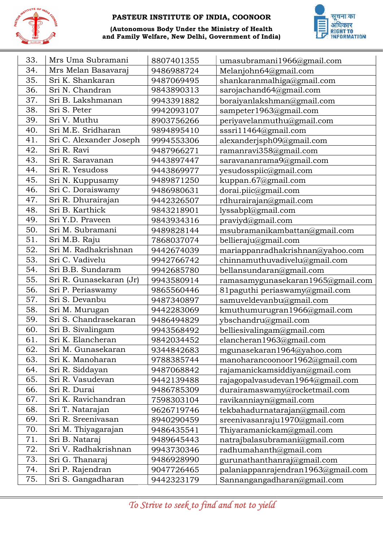

(Autonomous Body Under the Ministry of Health and Family Welfare, New Delhi, Government of India)



| 33. | Mrs Uma Subramani       | 8807401355 | umasubramani1966@gmail.com         |
|-----|-------------------------|------------|------------------------------------|
| 34. | Mrs Melan Basavaraj     | 9486988724 | Melanjohn64@gmail.com              |
| 35. | Sri K. Shankaran        | 9487069495 | shankaranmalhiga@gmail.com         |
| 36. | Sri N. Chandran         | 9843890313 | sarojachand64@gmail.com            |
| 37. | Sri B. Lakshmanan       | 9943391882 | boraiyanlakshman@gmail.com         |
| 38. | Sri S. Peter            | 9942093107 | sampeter1963@gmail.com             |
| 39. | Sri V. Muthu            | 8903756266 | periyavelanmuthu@gmail.com         |
| 40. | Sri M.E. Sridharan      | 9894895410 | sssri11464@gmail.com               |
| 41. | Sri C. Alexander Joseph | 9994553306 | alexanderjsph09@gmail.com          |
| 42. | Sri R. Ravi             | 9487966271 | ramanravi358@gmail.com             |
| 43. | Sri R. Saravanan        | 9443897447 | saravananrama9@gmail.com           |
| 44. | Sri R. Yesudoss         | 9443869977 | yesudosspiic@gmail.com             |
| 45. | Sri N. Kuppusamy        | 9489871250 | kuppan.67@gmail.com                |
| 46. | Sri C. Doraiswamy       | 9486980631 | dorai.piic@gmail.com               |
| 47. | Sri R. Dhurairajan      | 9442326507 | rdhurairajan@gmail.com             |
| 48. | Sri B. Karthick         | 9843218901 | lyssabpl@gmail.com                 |
| 49. | Sri Y.D. Praveen        | 9843934316 | praviyd@gmail.com                  |
| 50. | Sri M. Subramani        | 9489828144 | msubramanikambattan@gmail.com      |
| 51. | Sri M.B. Raju           | 7868037074 | bellieraju@gmail.com               |
| 52. | Sri M. Radhakrishnan    | 9442674039 | mariappanradhakrishnan@yahoo.com   |
| 53. | Sri C. Vadivelu         | 9942766742 | chinnamuthuvadivelu@gmail.com      |
| 54. | Sri B.B. Sundaram       | 9942685780 | bellansundaran@gmail.com           |
| 55. | Sri R. Gunasekaran (Jr) | 9943580914 | ramasamygunasekaran1965@gmail.com  |
| 56. | Sri P. Periaswamy       | 9865560446 | 81paguthi periaswamy@gmail.com     |
| 57. | Sri S. Devanbu          | 9487340897 | samuveldevanbu@gmail.com           |
| 58. | Sri M. Murugan          | 9442283069 | kmuthumurugran1966@gmail.com       |
| 59. | Sri S. Chandrasekaran   | 9486494829 | ybschandru@gmail.com               |
| 60. | Sri B. Sivalingam       | 9943568492 | belliesivalingam@gmail.com         |
| 61. | Sri K. Elancheran       | 9842034452 | elancheran1963@gmail.com           |
| 62. | Sri M. Gunasekaran      | 9344842683 | mgunasekaran1964@yahoo.com         |
| 63. | Sri K. Manoharan        | 9788385744 | manoharancoonoor1962@gmail.com     |
| 64. | Sri R. Siddayan         | 9487068842 | rajamanickamsiddiyan@gmail.com     |
| 65. | Sri R. Vasudevan        | 9442139488 | rajagopalvasudevan1964@gmail.com   |
| 66. | Sri R. Durai            | 9486785309 | durairamaswamy@rocketmail.com      |
| 67. | Sri K. Ravichandran     | 7598303104 | ravikanniayn@gmail.com             |
| 68. | Sri T. Natarajan        | 9626719746 | tekbahadurnatarajan@gmail.com      |
| 69. | Sri R. Sreenivasan      | 8940290459 | sreenivasanraju1970@gmail.com      |
| 70. | Sri M. Thiyagarajan     | 9486435541 | Thiyaramanickam@gmail.com          |
| 71. | Sri B. Nataraj          | 9489645443 | natrajbalasubramani@gmail.com      |
| 72. | Sri V. Radhakrishnan    | 9943730346 | radhumahanth@gmail.com             |
| 73. | Sri G. Thanaraj         | 9486928990 | gurunathanthanraj@gmail.com        |
| 74. | Sri P. Rajendran        | 9047726465 | palaniappanrajendran1963@gmail.com |
| 75. | Sri S. Gangadharan      | 9442323179 | Sannangangadharan@gmail.com        |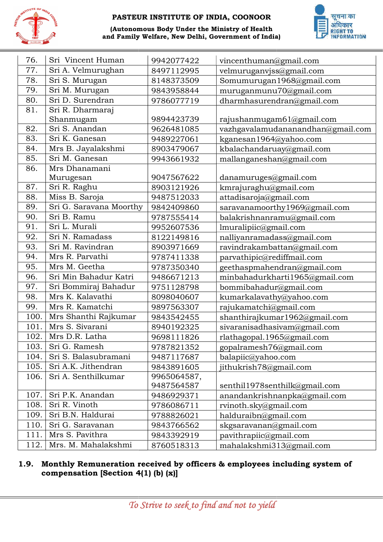

(Autonomous Body Under the Ministry of Health and Family Welfare, New Delhi, Government of India)



| $\frac{(1)}{1907}$ | and Family Welfare, New Delhi, Government of India) |             |                                   |
|--------------------|-----------------------------------------------------|-------------|-----------------------------------|
| 76.                | Sri Vincent Human                                   | 9942077422  | vincenthuman@gmail.com            |
| 77.                | Sri A. Velmurughan                                  | 8497112995  | velmuruganvjss@gmail.com          |
| 78.                | Sri S. Murugan                                      | 8148373509  | Somumurugan1968@gmail.com         |
| 79.                | Sri M. Murugan                                      | 9843958844  | muruganmunu70@gmail.com           |
| 80.                | Sri D. Surendran                                    | 9786077719  | dharmhasurendran@gmail.com        |
| 81.                | Sri R. Dharmaraj                                    |             |                                   |
|                    | Shanmugam                                           | 9894423739  | rajushanmugam61@gmail.com         |
| 82.                | Sri S. Anandan                                      | 9626481085  | vazhgavalamudananandhan@gmail.com |
| 83.                | Sri K. Ganesan                                      | 9489227061  | kganesan1964@yahoo.com            |
| 84.                | Mrs B. Jayalakshmi                                  | 8903479067  | kbalachandaruay@gmail.com         |
| 85.                | Sri M. Ganesan                                      | 9943661932  | mallanganeshan@gmail.com          |
| 86.                | Mrs Dhanamani                                       |             |                                   |
|                    | Murugesan                                           | 9047567622  | danamuruges@gmail.com             |
| 87.                | Sri R. Raghu                                        | 8903121926  | kmrajuraghu@gmail.com             |
| 88.                | Miss B. Saroja                                      | 9487512033  | attadisaroja@gmail.com            |
| 89.                | Sri G. Saravana Moorthy                             | 9842409860  | saravanamoorthy1969@gmail.com     |
| 90.                | Sri B. Ramu                                         | 9787555414  | balakrishnanramu@gmail.com        |
| 91.                | Sri L. Murali                                       | 9952607536  | lmuralipiic@gmail.com             |
| 92.                | Sri N. Ramadass                                     | 8122149816  | nalliyanramadass@gmail.com        |
| 93.                | Sri M. Ravindran                                    | 8903971669  | ravindrakambattan@gmail.com       |
| 94.                | Mrs R. Parvathi                                     | 9787411338  | parvathipic@rediffmail.com        |
| 95.                | Mrs M. Geetha                                       | 9787350340  | geethaspmahendran@gmail.com       |
| 96.                | Sri Min Bahadur Katri                               | 9486671213  | minbahadurkharti1965@gmail.com    |
| 97.                | Sri Bommiraj Bahadur                                | 9751128798  | bommibahadur@gmail.com            |
| 98.                | Mrs K. Kalavathi                                    | 8098040607  | kumarkalavathy@yahoo.com          |
| 99.                | Mrs R. Kamatchi                                     | 9897563307  | rajukamatchi@gmail.com            |
| 100.               | Mrs Shanthi Rajkumar                                | 9843542455  | shanthirajkumar1962@gmail.com     |
| 101.               | Mrs S. Sivarani                                     | 8940192325  | sivaranisadhasivam@gmail.com      |
| 102.               | Mrs D.R. Latha                                      | 9698111826  | rlathagopal.1965@gmail.com        |
| 103.               | Sri G. Ramesh                                       | 9787821352  | gopalramesh76@gmail.com           |
| 104.               | Sri S. Balasubramani                                | 9487117687  | balapiic@yahoo.com                |
| 105.               | Sri A.K. Jithendran                                 | 9843891605  | jithukrish78@gmail.com            |
| 106.               | Sri A. Senthilkumar                                 | 9965064587, |                                   |
|                    |                                                     | 9487564587  | senthil1978senthilk@gmail.com     |
| 107.               | Sri P.K. Anandan                                    | 9486929371  | anandankrishnanpka@gmail.com      |
| 108.               | Sri R. Vinoth                                       | 9786086711  | rvinoth.sky@gmail.com             |
| 109.               | Sri B.N. Haldurai                                   | 9788826021  | halduraibn@gmail.com              |
| 110.               | Sri G. Saravanan                                    | 9843766562  | skgsaravanan@gmail.com            |
| 111.               | Mrs S. Pavithra                                     | 9843392919  | pavithrapiic@gmail.com            |
| 112.               | Mrs. M. Mahalakshmi                                 | 8760518313  | mahalakshmi313@gmail.com          |

#### 1.9. Monthly Remuneration received by officers & employees including system of compensation [Section 4(1) (b) (x)]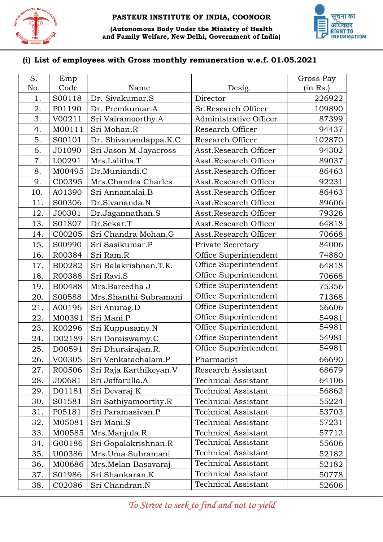



#### (i) List of employees with Gross monthly remuneration w.e.f. 01.05.2021

| S.  | Emp    |                        |                            | Gross Pay |
|-----|--------|------------------------|----------------------------|-----------|
| No. | Code   | Name                   | Desig.                     | (in Rs.)  |
| 1.  | S00118 | Dr. Sivakumar.S        | Director                   | 226922    |
| 2.  | P01190 | Dr. Premkumar.A        | Sr.Research Officer        | 109890    |
| 3.  | V00211 | Sri Vairamoorthy.A     | Administrative Officer     | 87399     |
| 4.  | M00111 | Sri Mohan.R            | Research Officer           | 94437     |
| 5.  | S00101 | Dr. Shivanandappa.K.C  | Research Officer           | 102870    |
| 6.  | J01090 | Sri Jason M Jayacross  | Asst.Research Officer      | 94302     |
| 7.  | L00291 | Mrs.Lalitha.T          | Asst.Research Officer      | 89037     |
| 8.  | M00495 | Dr.Muniandi.C          | Asst.Research Officer      | 86463     |
| 9.  | C00395 | Mrs.Chandra Charles    | Asst.Research Officer      | 92231     |
| 10. | A01390 | Sri Annamalai.B        | Asst.Research Officer      | 86463     |
| 11. | S00306 | Dr.Sivananda.N         | Asst.Research Officer      | 89606     |
| 12. | J00301 | Dr.Jagannathan.S       | Asst.Research Officer      | 79326     |
| 13. | S01807 | Dr.Sekar.T             | Asst.Research Officer      | 64818     |
| 14. | C00205 | Sri Chandra Mohan.G    | Asst.Research Officer      | 70668     |
| 15. | S00990 | Sri Sasikumar.P        | Private Secretary          | 84006     |
| 16. | R00384 | Sri Ram.R              | Office Superintendent      | 74880     |
| 17. | B00282 | Sri Balakrishnan.T.K.  | Office Superintendent      | 64818     |
| 18. | R00388 | Sri Ravi.S             | Office Superintendent      | 70668     |
| 19. | B00488 | Mrs.Bareedha J         | Office Superintendent      | 75356     |
| 20. | S00588 | Mrs.Shanthi Subramani  | Office Superintendent      | 71368     |
| 21. | A00196 | Sri Anurag.D           | Office Superintendent      | 56606     |
| 22. | M00391 | Sri Mani.P             | Office Superintendent      | 54981     |
| 23. | K00296 | Sri Kuppusamy.N        | Office Superintendent      | 54981     |
| 24. | D02189 | Sri Doraiswamy.C       | Office Superintendent      | 54981     |
| 25. | D00591 | Sri Dhurairajan.R.     | Office Superintendent      | 54981     |
| 26. | V00305 | Sri Venkatachalam.P    | Pharmacist                 | 66690     |
| 27. | R00506 | Sri Raja Karthikeyan.V | Research Assistant         | 68679     |
| 28. | J00681 | Sri Jaffarulla.A       | <b>Technical Assistant</b> | 64106     |
| 29. | D01181 | Sri Devaraj.K          | <b>Technical Assistant</b> | 56862     |
| 30. | S01581 | Sri Sathiyamoorthy.R   | <b>Technical Assistant</b> | 55224     |
| 31. | P05181 | Sri Paramasivan.P      | <b>Technical Assistant</b> | 53703     |
| 32. | M05081 | Sri Mani.S             | <b>Technical Assistant</b> | 57231     |
| 33. | M00585 | Mrs.Manjula.R.         | <b>Technical Assistant</b> | 57712     |
| 34. | G00186 | Sri Gopalakrishnan.R   | <b>Technical Assistant</b> | 55606     |
| 35. | U00386 | Mrs.Uma Subramani      | <b>Technical Assistant</b> | 52182     |
| 36. | M00686 | Mrs. Melan Basavaraj   | <b>Technical Assistant</b> | 52182     |
| 37. | S01986 | Sri Shankaran.K        | <b>Technical Assistant</b> | 50778     |
| 38. | C02086 | Sri Chandran.N         | <b>Technical Assistant</b> | 52606     |

To Strive to seek to find and not to yield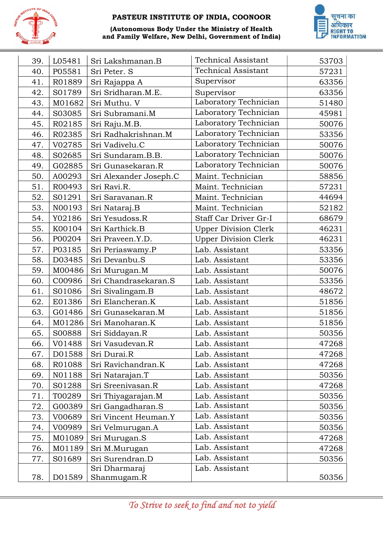

#### (Autonomous Body Under the Ministry of Health and Family Welfare, New Delhi, Government of India)



| 39. | L05481 | Sri Lakshmanan.B       | <b>Technical Assistant</b>  | 53703 |
|-----|--------|------------------------|-----------------------------|-------|
| 40. | P05581 | Sri Peter. S           | <b>Technical Assistant</b>  | 57231 |
| 41. | R01889 | Sri Rajappa A          | Supervisor                  | 63356 |
| 42. | S01789 | Sri Sridharan.M.E.     | Supervisor                  | 63356 |
| 43. | M01682 | Sri Muthu. V           | Laboratory Technician       | 51480 |
| 44. | S03085 | Sri Subramani.M        | Laboratory Technician       | 45981 |
| 45. | R02185 | Sri Raju.M.B.          | Laboratory Technician       | 50076 |
| 46. | R02385 | Sri Radhakrishnan.M    | Laboratory Technician       | 53356 |
| 47. | V02785 | Sri Vadivelu.C         | Laboratory Technician       | 50076 |
| 48. | S02685 | Sri Sundaram.B.B.      | Laboratory Technician       | 50076 |
| 49. | G02885 | Sri Gunasekaran.R      | Laboratory Technician       | 50076 |
| 50. | A00293 | Sri Alexander Joseph.C | Maint. Technician           | 58856 |
| 51. | R00493 | Sri Ravi.R.            | Maint. Technician           | 57231 |
| 52. | S01291 | Sri Saravanan.R        | Maint. Technician           | 44694 |
| 53. | N00193 | Sri Nataraj.B          | Maint. Technician           | 52182 |
| 54. | Y02186 | Sri Yesudoss.R         | Staff Car Driver Gr-I       | 68679 |
| 55. | K00104 | Sri Karthick.B         | <b>Upper Division Clerk</b> | 46231 |
| 56. | P00204 | Sri Praveen.Y.D.       | <b>Upper Division Clerk</b> | 46231 |
| 57. | P03185 | Sri Periaswamy.P       | Lab. Assistant              | 53356 |
| 58. | D03485 | Sri Devanbu.S          | Lab. Assistant              | 53356 |
| 59. | M00486 | Sri Murugan.M          | Lab. Assistant              | 50076 |
| 60. | C00986 | Sri Chandrasekaran.S   | Lab. Assistant              | 53356 |
| 61. | S01086 | Sri Sivalingam.B       | Lab. Assistant              | 48672 |
| 62. | E01386 | Sri Elancheran.K       | Lab. Assistant              | 51856 |
| 63. | G01486 | Sri Gunasekaran.M      | Lab. Assistant              | 51856 |
| 64. | M01286 | Sri Manoharan.K        | Lab. Assistant              | 51856 |
| 65. | S00888 | Sri Siddayan.R         | Lab. Assistant              | 50356 |
| 66. | V01488 | Sri Vasudevan.R        | Lab. Assistant              | 47268 |
| 67. | D01588 | Sri Durai.R            | Lab. Assistant              | 47268 |
| 68. | R01088 | Sri Ravichandran.K     | Lab. Assistant              | 47268 |
| 69. | N01188 | Sri Natarajan.T        | Lab. Assistant              | 50356 |
| 70. | S01288 | Sri Sreenivasan.R      | Lab. Assistant              | 47268 |
| 71. | T00289 | Sri Thiyagarajan.M     | Lab. Assistant              | 50356 |
| 72. | G00389 | Sri Gangadharan.S      | Lab. Assistant              | 50356 |
| 73. | V00689 | Sri Vincent Heuman.Y   | Lab. Assistant              | 50356 |
| 74. | V00989 | Sri Velmurugan.A       | Lab. Assistant              | 50356 |
| 75. | M01089 | Sri Murugan.S          | Lab. Assistant              | 47268 |
| 76. | M01189 | Sri M.Murugan          | Lab. Assistant              | 47268 |
| 77. | S01689 | Sri Surendran.D        | Lab. Assistant              | 50356 |
|     |        | Sri Dharmaraj          | Lab. Assistant              |       |
| 78. | D01589 | Shanmugam.R            |                             | 50356 |

To Strive to seek to find and not to yield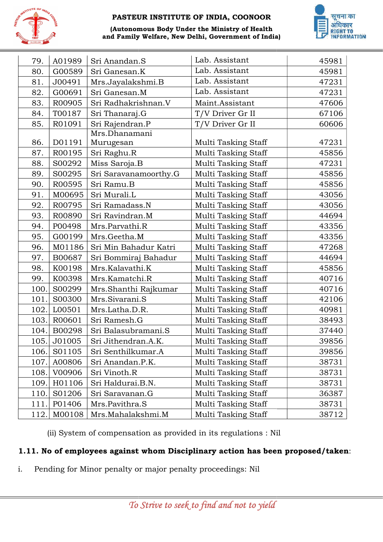

# (Autonomous Body Under the Ministry of Health and Family Welfare, New Delhi, Government of India)



| 79.  | A01989 | Sri Anandan.S                                                    | Lab. Assistant                                                                 | 45981 |
|------|--------|------------------------------------------------------------------|--------------------------------------------------------------------------------|-------|
| 80.  | G00589 | Sri Ganesan.K                                                    | Lab. Assistant                                                                 | 45981 |
| 81.  | J00491 | Mrs.Jayalakshmi.B                                                | Lab. Assistant                                                                 | 47231 |
| 82.  | G00691 | Sri Ganesan.M                                                    | Lab. Assistant                                                                 | 47231 |
| 83.  | R00905 | Sri Radhakrishnan.V                                              | Maint.Assistant                                                                | 47606 |
| 84.  | T00187 | Sri Thanaraj.G                                                   | T/V Driver Gr II                                                               | 67106 |
| 85.  | R01091 | Sri Rajendran.P                                                  | T/V Driver Gr II                                                               | 60606 |
| 86.  | D01191 | Mrs.Dhanamani<br>Murugesan                                       | Multi Tasking Staff                                                            | 47231 |
| 87.  | R00195 | Sri Raghu.R                                                      | Multi Tasking Staff                                                            | 45856 |
| 88.  | S00292 | Miss Saroja.B                                                    | Multi Tasking Staff                                                            | 47231 |
| 89.  | S00295 | Sri Saravanamoorthy.G                                            | Multi Tasking Staff                                                            | 45856 |
| 90.  | R00595 | Sri Ramu.B                                                       | Multi Tasking Staff                                                            | 45856 |
| 91.  | M00695 | Sri Murali.L                                                     | Multi Tasking Staff                                                            | 43056 |
| 92.  | R00795 | Sri Ramadass.N                                                   | <b>Multi Tasking Staff</b>                                                     | 43056 |
| 93.  | R00890 | Sri Ravindran.M                                                  | Multi Tasking Staff                                                            | 44694 |
| 94.  | P00498 | Mrs.Parvathi.R                                                   | Multi Tasking Staff                                                            | 43356 |
| 95.  | G00199 | Mrs.Geetha.M                                                     | <b>Multi Tasking Staff</b>                                                     | 43356 |
| 96.  | M01186 | Sri Min Bahadur Katri                                            | Multi Tasking Staff                                                            | 47268 |
| 97.  | B00687 | Sri Bommiraj Bahadur                                             | Multi Tasking Staff                                                            | 44694 |
| 98.  | K00198 | Mrs.Kalavathi.K                                                  | Multi Tasking Staff                                                            | 45856 |
| 99.  | K00398 | Mrs.Kamatchi.R                                                   | Multi Tasking Staff                                                            | 40716 |
| 100. | S00299 | Mrs.Shanthi Rajkumar                                             | <b>Multi Tasking Staff</b>                                                     | 40716 |
| 101. | S00300 | Mrs.Sivarani.S                                                   | Multi Tasking Staff                                                            | 42106 |
| 102. | L00501 | Mrs.Latha.D.R.                                                   | <b>Multi Tasking Staff</b>                                                     | 40981 |
| 103. | R00601 | Sri Ramesh.G                                                     | Multi Tasking Staff                                                            | 38493 |
| 104. | B00298 | Sri Balasubramani.S                                              | Multi Tasking Staff                                                            | 37440 |
| 105. | J01005 | Sri Jithendran.A.K.                                              | Multi Tasking Staff                                                            | 39856 |
| 106. | S01105 | Sri Senthilkumar.A                                               | Multi Tasking Staff                                                            | 39856 |
| 107. | A00806 | Sri Anandan.P.K.                                                 | Multi Tasking Staff                                                            | 38731 |
| 108. | V00906 | Sri Vinoth.R                                                     | Multi Tasking Staff                                                            | 38731 |
| 109. | H01106 | Sri Haldurai.B.N.                                                | Multi Tasking Staff                                                            | 38731 |
| 110. | S01206 | Sri Saravanan.G                                                  | Multi Tasking Staff                                                            | 36387 |
| 111. | P01406 | Mrs.Pavithra.S                                                   | Multi Tasking Staff                                                            | 38731 |
| 112. | M00108 | Mrs.Mahalakshmi.M                                                | <b>Multi Tasking Staff</b>                                                     | 38712 |
|      |        | (ii) System of compensation as provided in its regulations : Nil | 1.11. No of employees against whom Disciplinary action has been proposed/taken |       |

# 1.11. No of employees against whom Disciplinary action has been proposed/taken:

i. Pending for Minor penalty or major penalty proceedings: Nil